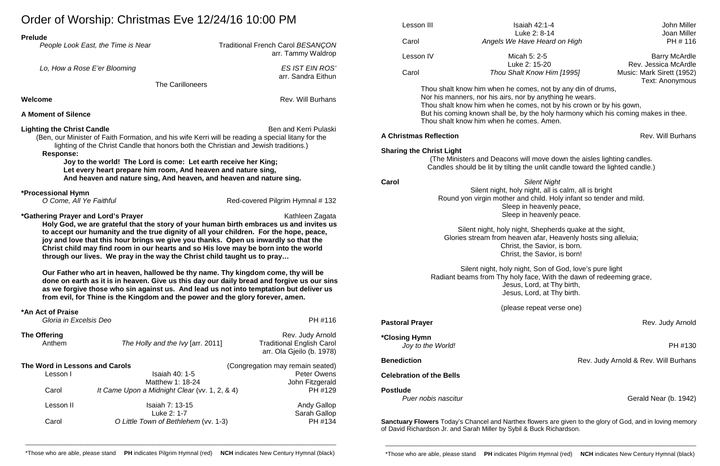Joan Miller

| $U$ iuci of Wyording. Officinias LVC 12/27/10 10.00 FWF<br><b>Prelude</b>                                                                                                                                                                                                                                                                                                                                                                                                                             |                                                                                            | Lesson III                                                                                                                                                                        | <b>Isaiah 42:1-4</b>                                                               | <b>John Miller</b>                                                 |                                                                                   |  |                                                                                                   |                                                         |  |
|-------------------------------------------------------------------------------------------------------------------------------------------------------------------------------------------------------------------------------------------------------------------------------------------------------------------------------------------------------------------------------------------------------------------------------------------------------------------------------------------------------|--------------------------------------------------------------------------------------------|-----------------------------------------------------------------------------------------------------------------------------------------------------------------------------------|------------------------------------------------------------------------------------|--------------------------------------------------------------------|-----------------------------------------------------------------------------------|--|---------------------------------------------------------------------------------------------------|---------------------------------------------------------|--|
|                                                                                                                                                                                                                                                                                                                                                                                                                                                                                                       |                                                                                            |                                                                                                                                                                                   | Luke 2: 8-14                                                                       | Joan Miller                                                        |                                                                                   |  |                                                                                                   |                                                         |  |
| People Look East, the Time is Near                                                                                                                                                                                                                                                                                                                                                                                                                                                                    | <b>Traditional French Carol BESANÇON</b>                                                   | Carol                                                                                                                                                                             | Angels We Have Heard on High                                                       | PH # 116                                                           |                                                                                   |  |                                                                                                   |                                                         |  |
|                                                                                                                                                                                                                                                                                                                                                                                                                                                                                                       | arr. Tammy Waldrop                                                                         |                                                                                                                                                                                   |                                                                                    |                                                                    |                                                                                   |  |                                                                                                   |                                                         |  |
|                                                                                                                                                                                                                                                                                                                                                                                                                                                                                                       |                                                                                            | Lesson IV                                                                                                                                                                         | Micah 5: 2-5                                                                       | <b>Barry McArdle</b>                                               |                                                                                   |  |                                                                                                   |                                                         |  |
| Lo, How a Rose E'er Blooming                                                                                                                                                                                                                                                                                                                                                                                                                                                                          | <b>ES IST EIN ROS'</b>                                                                     |                                                                                                                                                                                   | Luke 2: 15-20                                                                      | Rev. Jessica McArdle                                               |                                                                                   |  |                                                                                                   |                                                         |  |
|                                                                                                                                                                                                                                                                                                                                                                                                                                                                                                       | arr. Sandra Eithun                                                                         | Carol                                                                                                                                                                             | Thou Shalt Know Him [1995]                                                         | Music: Mark Sirett (1952)                                          |                                                                                   |  |                                                                                                   |                                                         |  |
| The Carilloneers                                                                                                                                                                                                                                                                                                                                                                                                                                                                                      |                                                                                            |                                                                                                                                                                                   |                                                                                    | <b>Text: Anonymous</b>                                             |                                                                                   |  |                                                                                                   |                                                         |  |
|                                                                                                                                                                                                                                                                                                                                                                                                                                                                                                       |                                                                                            | Thou shalt know him when he comes, not by any din of drums,<br>Nor his manners, nor his airs, nor by anything he wears.                                                           |                                                                                    |                                                                    |                                                                                   |  |                                                                                                   |                                                         |  |
| Rev. Will Burhans<br>Welcome                                                                                                                                                                                                                                                                                                                                                                                                                                                                          |                                                                                            |                                                                                                                                                                                   |                                                                                    |                                                                    |                                                                                   |  |                                                                                                   |                                                         |  |
| <b>A Moment of Silence</b>                                                                                                                                                                                                                                                                                                                                                                                                                                                                            |                                                                                            |                                                                                                                                                                                   | Thou shalt know him when he comes, not by his crown or by his gown,                |                                                                    |                                                                                   |  |                                                                                                   |                                                         |  |
|                                                                                                                                                                                                                                                                                                                                                                                                                                                                                                       |                                                                                            |                                                                                                                                                                                   | But his coming known shall be, by the holy harmony which his coming makes in thee. |                                                                    |                                                                                   |  |                                                                                                   |                                                         |  |
|                                                                                                                                                                                                                                                                                                                                                                                                                                                                                                       | Ben and Kerri Pulaski                                                                      |                                                                                                                                                                                   | Thou shalt know him when he comes. Amen.                                           |                                                                    |                                                                                   |  |                                                                                                   |                                                         |  |
| <b>Lighting the Christ Candle</b><br>(Ben, our Minister of Faith Formation, and his wife Kerri will be reading a special litany for the<br>lighting of the Christ Candle that honors both the Christian and Jewish traditions.)<br><b>Response:</b><br>Joy to the world! The Lord is come: Let earth receive her King;<br>Let every heart prepare him room, And heaven and nature sing,<br>And heaven and nature sing, And heaven, and heaven and nature sing.<br>*Processional Hymn                  |                                                                                            | <b>A Christmas Reflection</b>                                                                                                                                                     |                                                                                    | Rev. Will Burhans                                                  |                                                                                   |  |                                                                                                   |                                                         |  |
|                                                                                                                                                                                                                                                                                                                                                                                                                                                                                                       |                                                                                            |                                                                                                                                                                                   |                                                                                    |                                                                    |                                                                                   |  |                                                                                                   |                                                         |  |
|                                                                                                                                                                                                                                                                                                                                                                                                                                                                                                       |                                                                                            | <b>Sharing the Christ Light</b>                                                                                                                                                   |                                                                                    |                                                                    |                                                                                   |  |                                                                                                   |                                                         |  |
|                                                                                                                                                                                                                                                                                                                                                                                                                                                                                                       |                                                                                            | (The Ministers and Deacons will move down the aisles lighting candles.<br>Candles should be lit by tilting the unlit candle toward the lighted candle.)                           |                                                                                    |                                                                    |                                                                                   |  |                                                                                                   |                                                         |  |
|                                                                                                                                                                                                                                                                                                                                                                                                                                                                                                       |                                                                                            |                                                                                                                                                                                   |                                                                                    |                                                                    |                                                                                   |  |                                                                                                   |                                                         |  |
|                                                                                                                                                                                                                                                                                                                                                                                                                                                                                                       |                                                                                            | Carol                                                                                                                                                                             | <b>Silent Night</b>                                                                |                                                                    |                                                                                   |  |                                                                                                   |                                                         |  |
|                                                                                                                                                                                                                                                                                                                                                                                                                                                                                                       |                                                                                            | Silent night, holy night, all is calm, all is bright                                                                                                                              |                                                                                    |                                                                    |                                                                                   |  |                                                                                                   |                                                         |  |
|                                                                                                                                                                                                                                                                                                                                                                                                                                                                                                       |                                                                                            | O Come, All Ye Faithful                                                                                                                                                           | Red-covered Pilgrim Hymnal # 132                                                   | Round yon virgin mother and child. Holy infant so tender and mild. |                                                                                   |  |                                                                                                   |                                                         |  |
|                                                                                                                                                                                                                                                                                                                                                                                                                                                                                                       |                                                                                            | Sleep in heavenly peace,                                                                                                                                                          |                                                                                    |                                                                    |                                                                                   |  |                                                                                                   |                                                         |  |
| *Gathering Prayer and Lord's Prayer<br>Kathleen Zagata<br>Holy God, we are grateful that the story of your human birth embraces us and invites us<br>to accept our humanity and the true dignity of all your children. For the hope, peace,<br>joy and love that this hour brings we give you thanks. Open us inwardly so that the<br>Christ child may find room in our hearts and so His love may be born into the world<br>through our lives. We pray in the way the Christ child taught us to pray |                                                                                            |                                                                                                                                                                                   | Sleep in heavenly peace.                                                           |                                                                    |                                                                                   |  |                                                                                                   |                                                         |  |
|                                                                                                                                                                                                                                                                                                                                                                                                                                                                                                       |                                                                                            |                                                                                                                                                                                   |                                                                                    |                                                                    |                                                                                   |  |                                                                                                   |                                                         |  |
|                                                                                                                                                                                                                                                                                                                                                                                                                                                                                                       |                                                                                            | Silent night, holy night, Shepherds quake at the sight,                                                                                                                           |                                                                                    |                                                                    |                                                                                   |  |                                                                                                   |                                                         |  |
|                                                                                                                                                                                                                                                                                                                                                                                                                                                                                                       |                                                                                            | Glories stream from heaven afar, Heavenly hosts sing alleluia;<br>Christ, the Savior, is born.<br>Christ, the Savior, is born!                                                    |                                                                                    |                                                                    |                                                                                   |  |                                                                                                   |                                                         |  |
|                                                                                                                                                                                                                                                                                                                                                                                                                                                                                                       |                                                                                            |                                                                                                                                                                                   |                                                                                    |                                                                    |                                                                                   |  |                                                                                                   | Silent night, holy night, Son of God, love's pure light |  |
|                                                                                                                                                                                                                                                                                                                                                                                                                                                                                                       |                                                                                            |                                                                                                                                                                                   |                                                                                    |                                                                    | Our Father who art in heaven, hallowed be thy name. Thy kingdom come, thy will be |  | Radiant beams from Thy holy face, With the dawn of redeeming grace,<br>Jesus, Lord, at Thy birth, |                                                         |  |
|                                                                                                                                                                                                                                                                                                                                                                                                                                                                                                       | done on earth as it is in heaven. Give us this day our daily bread and forgive us our sins |                                                                                                                                                                                   |                                                                                    |                                                                    |                                                                                   |  |                                                                                                   |                                                         |  |
| as we forgive those who sin against us. And lead us not into temptation but deliver us                                                                                                                                                                                                                                                                                                                                                                                                                |                                                                                            | Jesus, Lord, at Thy birth.                                                                                                                                                        |                                                                                    |                                                                    |                                                                                   |  |                                                                                                   |                                                         |  |
| from evil, for Thine is the Kingdom and the power and the glory forever, amen.                                                                                                                                                                                                                                                                                                                                                                                                                        |                                                                                            |                                                                                                                                                                                   |                                                                                    |                                                                    |                                                                                   |  |                                                                                                   |                                                         |  |
| *An Act of Praise                                                                                                                                                                                                                                                                                                                                                                                                                                                                                     |                                                                                            | (please repeat verse one)                                                                                                                                                         |                                                                                    |                                                                    |                                                                                   |  |                                                                                                   |                                                         |  |
| Gloria in Excelsis Deo                                                                                                                                                                                                                                                                                                                                                                                                                                                                                | PH #116                                                                                    |                                                                                                                                                                                   |                                                                                    |                                                                    |                                                                                   |  |                                                                                                   |                                                         |  |
|                                                                                                                                                                                                                                                                                                                                                                                                                                                                                                       |                                                                                            | <b>Pastoral Prayer</b>                                                                                                                                                            |                                                                                    | Rev. Judy Arnold                                                   |                                                                                   |  |                                                                                                   |                                                         |  |
| <b>The Offering</b>                                                                                                                                                                                                                                                                                                                                                                                                                                                                                   | Rev. Judy Arnold                                                                           |                                                                                                                                                                                   |                                                                                    |                                                                    |                                                                                   |  |                                                                                                   |                                                         |  |
| The Holly and the Ivy [arr. 2011]<br>Anthem                                                                                                                                                                                                                                                                                                                                                                                                                                                           | <b>Traditional English Carol</b>                                                           | *Closing Hymn                                                                                                                                                                     |                                                                                    |                                                                    |                                                                                   |  |                                                                                                   |                                                         |  |
|                                                                                                                                                                                                                                                                                                                                                                                                                                                                                                       | arr. Ola Gjeilo (b. 1978)                                                                  | Joy to the World!                                                                                                                                                                 |                                                                                    | PH #130                                                            |                                                                                   |  |                                                                                                   |                                                         |  |
|                                                                                                                                                                                                                                                                                                                                                                                                                                                                                                       |                                                                                            | <b>Benediction</b>                                                                                                                                                                |                                                                                    | Rev. Judy Arnold & Rev. Will Burhans                               |                                                                                   |  |                                                                                                   |                                                         |  |
| The Word in Lessons and Carols<br>(Congregation may remain seated)                                                                                                                                                                                                                                                                                                                                                                                                                                    |                                                                                            |                                                                                                                                                                                   |                                                                                    |                                                                    |                                                                                   |  |                                                                                                   |                                                         |  |
| <b>Isaiah 40: 1-5</b><br>Lesson I                                                                                                                                                                                                                                                                                                                                                                                                                                                                     | <b>Peter Owens</b>                                                                         | <b>Celebration of the Bells</b>                                                                                                                                                   |                                                                                    |                                                                    |                                                                                   |  |                                                                                                   |                                                         |  |
| Matthew 1: 18-24                                                                                                                                                                                                                                                                                                                                                                                                                                                                                      | John Fitzgerald                                                                            |                                                                                                                                                                                   |                                                                                    |                                                                    |                                                                                   |  |                                                                                                   |                                                         |  |
| Carol<br>It Came Upon a Midnight Clear (vv. 1, 2, & 4)                                                                                                                                                                                                                                                                                                                                                                                                                                                | PH #129                                                                                    | <b>Postlude</b>                                                                                                                                                                   |                                                                                    |                                                                    |                                                                                   |  |                                                                                                   |                                                         |  |
|                                                                                                                                                                                                                                                                                                                                                                                                                                                                                                       |                                                                                            |                                                                                                                                                                                   | Puer nobis nascitur<br>Gerald Near (b. 1942)                                       |                                                                    |                                                                                   |  |                                                                                                   |                                                         |  |
| Isaiah 7: 13-15<br>Lesson II                                                                                                                                                                                                                                                                                                                                                                                                                                                                          | <b>Andy Gallop</b>                                                                         |                                                                                                                                                                                   |                                                                                    |                                                                    |                                                                                   |  |                                                                                                   |                                                         |  |
| Luke 2: 1-7                                                                                                                                                                                                                                                                                                                                                                                                                                                                                           | Sarah Gallop                                                                               |                                                                                                                                                                                   |                                                                                    |                                                                    |                                                                                   |  |                                                                                                   |                                                         |  |
| Carol<br>O Little Town of Bethlehem (vv. 1-3)                                                                                                                                                                                                                                                                                                                                                                                                                                                         | PH #134                                                                                    | Sanctuary Flowers Today's Chancel and Narthex flowers are given to the glory of God, and in loving memory<br>of David Richardson Jr. and Sarah Miller by Sybil & Buck Richardson. |                                                                                    |                                                                    |                                                                                   |  |                                                                                                   |                                                         |  |

\_\_\_\_\_\_\_\_\_\_\_\_\_\_\_\_\_\_\_\_\_\_\_\_\_\_\_\_\_\_\_\_\_\_\_\_\_\_\_\_\_\_\_\_\_\_\_\_\_\_\_\_\_\_\_\_\_\_\_\_\_\_\_\_\_\_\_\_\_\_\_\_\_\_\_\_\_\_\_\_\_\_\_\_\_\_\_\_\_\_\_\_\_\_\_

Order of Worship: Christmas Eve 12/24/16 10:00 PM